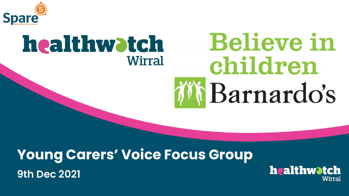

#### **Believe in** healthwatch **Wirral** children *i* Narnardo's

#### **Young Carers' Voice Focus Group 9th Dec 2021**

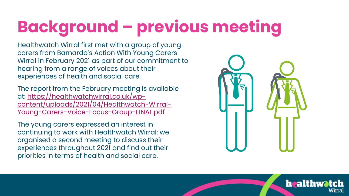# **Background – previous meeting**

Healthwatch Wirral first met with a group of young carers from Barnardo's Action With Young Carers Wirral in February 2021 as part of our commitment to hearing from a range of voices about their experiences of health and social care.

The report from the February meeting is available at: https://healthwatchwirral.co.uk/wp[content/uploads/2021/04/Healthwatch-Wirral-](https://healthwatchwirral.co.uk/wp-content/uploads/2021/04/Healthwatch-Wirral-Young-Carers-Voice-Focus-Group-FINAL.pdf)Young-Carers-Voice-Focus-Group-FINAL.pdf

The young carers expressed an interest in continuing to work with Healthwatch Wirral: we organised a second meeting to discuss their experiences throughout 2021 and find out their priorities in terms of health and social care.



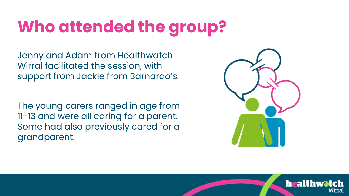## **Who attended the group?**

Jenny and Adam from Healthwatch Wirral facilitated the session, with support from Jackie from Barnardo's.

The young carers ranged in age from 11-13 and were all caring for a parent. Some had also previously cared for a grandparent.



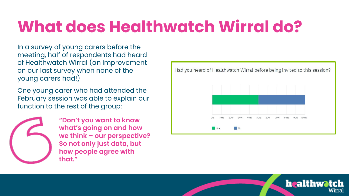### **What does Healthwatch Wirral do?**

In a survey of young carers before the meeting, half of respondents had heard of Healthwatch Wirral (an improvement on our last survey when none of the young carers had!)

One young carer who had attended the February session was able to explain our function to the rest of the group:



**"Don't you want to know what's going on and how we think – our perspective? So not only just data, but how people agree with that."**



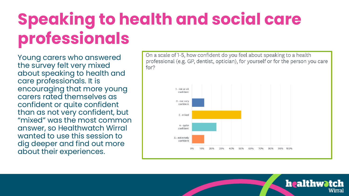## **Speaking to health and social care professionals**

Young carers who answered the survey felt very mixed about speaking to health and care professionals. It is encouraging that more young carers rated themselves as confident or quite confident than as not very confident, but "mixed" was the most common answer, so Healthwatch Wirral wanted to use this session to dig deeper and find out more about their experiences.



healthwatch

Wirral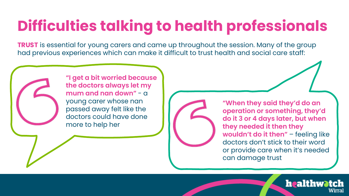## **Difficulties talking to health professionals**

**TRUST** is essential for young carers and came up throughout the session. Many of the group had previous experiences which can make it difficult to trust health and social care staff:

**"I get a bit worried because the doctors always let my mum and nan down"** - a young carer whose nan passed away felt like the doctors could have done more to help her

**"When they said they'd do an operation or something, they'd do it 3 or 4 days later, but when they needed it then they**  wouldn't do it then" - feeling like doctors don't stick to their word or provide care when it's needed can damage trust

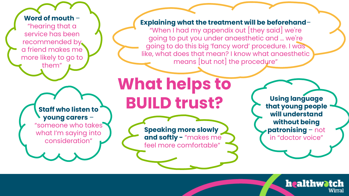#### **Word of mouth** –

"hearing that a service has been recommended by a friend makes me more likely to go to them"

#### **Staff who listen to young carers** –

"someone who takes what I'm saying into consideration"

#### **Explaining what the treatment will be beforehand**–

"When I had my appendix out [they said] we're going to put you under anaesthetic and … we're going to do this big 'fancy word' procedure. I was like, what does that mean? I know what anaesthetic means [but not] the procedure"

**What helps to BUILD trust?**

> **Speaking more slowly and softly -** "makes me feel more comfortable"

**Using language that young people will understand without being patronising** – not in "doctor voice"

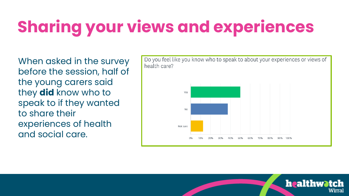# **Sharing your views and experiences**

When asked in the survey before the session, half of the young carers said they **did** know who to speak to if they wanted to share their experiences of health and social care.



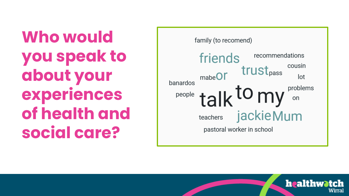**Who would you speak to about your experiences of health and social care?**



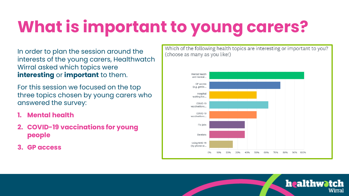# **What is important to young carers?**

In order to plan the session around the interests of the young carers, Healthwatch Wirral asked which topics were **interesting** or **important** to them.

For this session we focused on the top three topics chosen by young carers who answered the survey:

- **1. Mental health**
- **2. COVID-19 vaccinations for young people**
- **3. GP access**

Which of the following health topics are interesting or important to you? (choose as many as you like!)



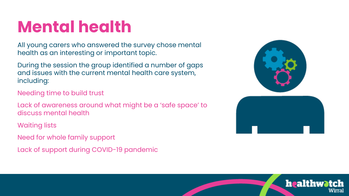### **Mental health**

All young carers who answered the survey chose mental health as an interesting or important topic.

During the session the group identified a number of gaps and issues with the current mental health care system, including:

Needing time to build trust

Lack of awareness around what might be a 'safe space' to discuss mental health

Waiting lists

Need for whole family support

Lack of support during COVID-19 pandemic



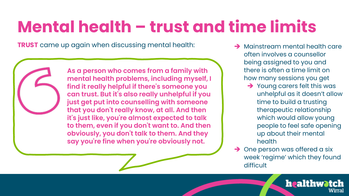## **Mental health – trust and time limits**

**TRUST** came up again when discussing mental health:

**As a person who comes from a family with mental health problems, including myself, I find it really helpful if there's someone you can trust. But it's also really unhelpful if you just get put into counselling with someone that you don't really know, at all. And then it's just like, you're almost expected to talk to them, even if you don't want to. And then obviously, you don't talk to them. And they say you're fine when you're obviously not.**

- **→ Mainstream mental health care** often involves a counsellor being assigned to you and there is often a time limit on how many sessions you get
	- → Young carers felt this was unhelpful as it doesn't allow time to build a trusting therapeutic relationship which would allow young people to feel safe opening up about their mental health
- **→** One person was offered a six week 'regime' which they found difficult

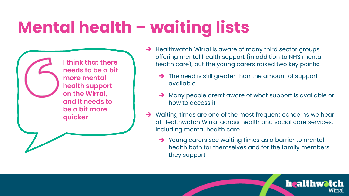## **Mental health – waiting lists**

**I think that there needs to be a bit more mental health support on the Wirral, and it needs to be a bit more quicker**

- → Healthwatch Wirral is aware of many third sector groups offering mental health support (in addition to NHS mental health care), but the young carers raised two key points:
	- → The need is still greater than the amount of support available
	- ➔ Many people aren't aware of what support is available or how to access it
- → Waiting times are one of the most frequent concerns we hear at Healthwatch Wirral across health and social care services, including mental health care
	- ➔ Young carers see waiting times as a barrier to mental health both for themselves and for the family members they support

healthwatch

Wirral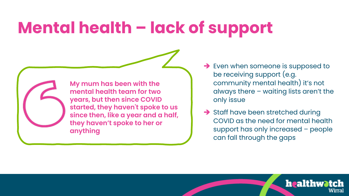### **Mental health – lack of support**

**My mum has been with the mental health team for two years, but then since COVID started, they haven't spoke to us since then, like a year and a half, they haven't spoke to her or anything**

- **→** Even when someone is supposed to be receiving support (e.g. community mental health) it's not always there – waiting lists aren't the only issue
- **→** Staff have been stretched during COVID as the need for mental health support has only increased – people can fall through the gaps

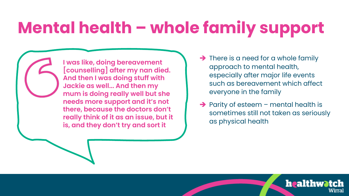## **Mental health – whole family support**

**I was like, doing bereavement [counselling] after my nan died. And then I was doing stuff with Jackie as well... And then my mum is doing really well but she needs more support and it's not there, because the doctors don't really think of it as an issue, but it is, and they don't try and sort it**

- $\rightarrow$  There is a need for a whole family approach to mental health, especially after major life events such as bereavement which affect everyone in the family
- → Parity of esteem mental health is sometimes still not taken as seriously as physical health

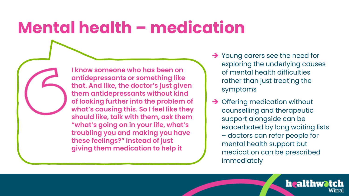#### **Mental health – medication**

**I know someone who has been on antidepressants or something like that. And like, the doctor's just given them antidepressants without kind of looking further into the problem of what's causing this. So I feel like they should like, talk with them, ask them "what's going on in your life, what's troubling you and making you have these feelings?" instead of just giving them medication to help it**

- **→** Young carers see the need for exploring the underlying causes of mental health difficulties rather than just treating the symptoms
- **→ Offering medication without** counselling and therapeutic support alongside can be exacerbated by long waiting lists – doctors can refer people for mental health support but medication can be prescribed immediately

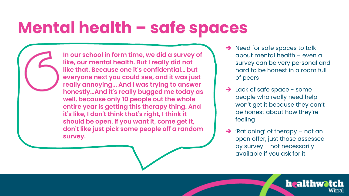### **Mental health – safe spaces**

**In our school in form time, we did a survey of like, our mental health. But I really did not like that. Because one it's confidential… but everyone next you could see, and it was just really annoying... And I was trying to answer honestly…And it's really bugged me today as well, because only 10 people out the whole entire year is getting this therapy thing. And it's like, I don't think that's right, I think it should be open. If you want it, come get it, don't like just pick some people off a random survey.**

- → Need for safe spaces to talk about mental health – even a survey can be very personal and hard to be honest in a room full of peers
- → Lack of safe space some people who really need help won't get it because they can't be honest about how they're feeling
- ➔ 'Rationing' of therapy not an open offer, just those assessed by survey – not necessarily available if you ask for it

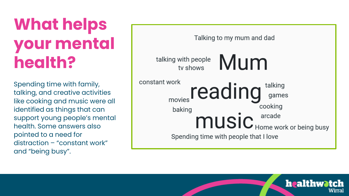## **What helps your mental health?**

Spending time with family, talking, and creative activities like cooking and music were all identified as things that can support young people's mental health. Some answers also pointed to a need for distraction – "constant work" and "being busy".



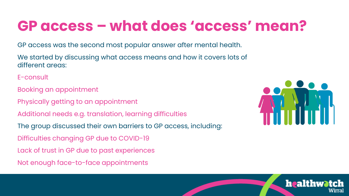#### **GP access – what does 'access' mean?**

GP access was the second most popular answer after mental health.

We started by discussing what access means and how it covers lots of different areas:

E-consult

- Booking an appointment
- Physically getting to an appointment
- Additional needs e.g. translation, learning difficulties
- The group discussed their own barriers to GP access, including:
- Difficulties changing GP due to COVID-19
- Lack of trust in GP due to past experiences
- Not enough face-to-face appointments



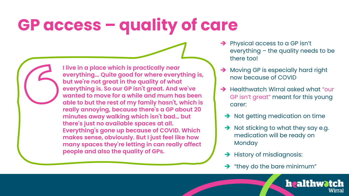## **GP access – quality of care**

**I live in a place which is practically near everything... Quite good for where everything is, but we're not great in the quality of what everything is. So our GP isn't great. And we've wanted to move for a while and mum has been able to but the rest of my family hasn't, which is really annoying, because there's a GP about 20 minutes away walking which isn't bad… but there's just no available spaces at all. Everything's gone up because of COVID. Which makes sense, obviously. But I just feel like how many spaces they're letting in can really affect people and also the quality of GPs.**

- → Physical access to a GP isn't everything – the quality needs to be there too!
- **→** Moving GP is especially hard right now because of COVID
- **→ Healthwatch Wirral asked what "our** GP isn't great" meant for this young carer:
	- **→** Not getting medication on time
	- $\rightarrow$  Not sticking to what they say e.g. medication will be ready on **Monday**
	- **→** History of misdiagnosis:
	- $\rightarrow$  "they do the bare minimum"

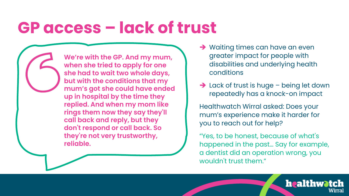#### **GP access – lack of trust**

**We're with the GP. And my mum, when she tried to apply for one she had to wait two whole days, but with the conditions that my mum's got she could have ended up in hospital by the time they replied. And when my mom like rings them now they say they'll call back and reply, but they don't respond or call back. So they're not very trustworthy, reliable.**

- **→ Waiting times can have an even** greater impact for people with disabilities and underlying health conditions
- → Lack of trust is huge being let down repeatedly has a knock-on impact

Healthwatch Wirral asked: Does your mum's experience make it harder for you to reach out for help?

"Yes, to be honest, because of what's happened in the past… Say for example, a dentist did an operation wrong, you wouldn't trust them."

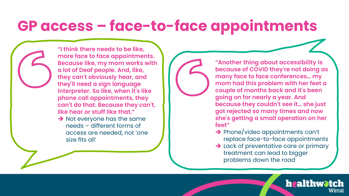#### **GP access – face-to-face appointments**

**"I think there needs to be like, more face to face appointments. Because like, my mom works with a lot of Deaf people. And, like, they can't obviously hear, and they'll need a sign language interpreter. So like, when it's like phone call appointments, they can't do that. Because they can't, like hear or stuff like that."**

**→** Not everyone has the same needs – different forms of access are needed, not 'one size fits all'

**"Another thing about accessibility is because of COVID they're not doing as many face to face conferences… my mom had this problem with her feet a couple of months back and it's been going on for nearly a year. And because they couldn't see it… she just got rejected so many times and now she's getting a small operation on her feet"**

- → Phone/video appointments can't replace face-to-face appointments
- → Lack of preventative care or primary treatment can lead to bigger problems down the road

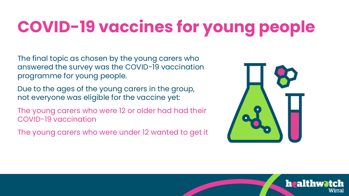# **COVID-19 vaccines for young people**

The final topic as chosen by the young carers who answered the survey was the COVID-19 vaccination programme for young people.

Due to the ages of the young carers in the group, not everyone was eligible for the vaccine yet:

The young carers who were 12 or older had had their COVID-19 vaccination

The young carers who were under 12 wanted to get it



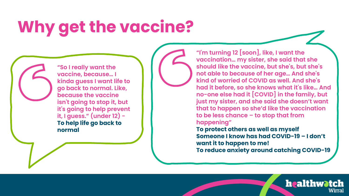## **Why get the vaccine?**

**"So I really want the vaccine, because… I kinda guess I want life to go back to normal. Like, because the vaccine isn't going to stop it, but it's going to help prevent it, I guess." (under 12) - To help life go back to normal**

**"I'm turning 12 [soon], like, I want the vaccination… my sister, she said that she should like the vaccine, but she's, but she's not able to because of her age… And she's kind of worried of COVID as well. And she's had it before, so she knows what it's like… And no-one else had it [COVID] in the family, but just my sister, and she said she doesn't want that to happen so she'd like the vaccination to be less chance – to stop that from happening"**

**To protect others as well as myself Someone I know has had COVID-19 – I don't want it to happen to me!**

**To reduce anxiety around catching COVID-19**

healthwatch

Wirral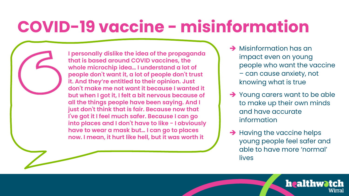### **COVID-19 vaccine - misinformation**

**I personally dislike the idea of the propaganda that is based around COVID vaccines, the whole microchip idea… I understand a lot of people don't want it, a lot of people don't trust it. And they're entitled to their opinion. Just don't make me not want it because I wanted it but when I got it, I felt a bit nervous because of all the things people have been saying. And I just don't think that is fair. Because now that I've got it I feel much safer. Because I can go into places and I don't have to like - I obviously have to wear a mask but… I can go to places now. I mean, it hurt like hell, but it was worth it**

- **→** Misinformation has an impact even on young people who want the vaccine – can cause anxiety, not knowing what is true
- → Young carers want to be able to make up their own minds and have accurate information
- **→** Having the vaccine helps young people feel safer and able to have more 'normal' lives

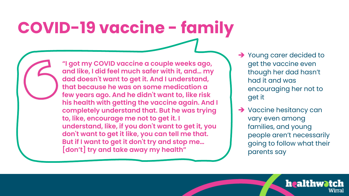## **COVID-19 vaccine - family**

**"I got my COVID vaccine a couple weeks ago, and like, I did feel much safer with it, and… my dad doesn't want to get it. And I understand, that because he was on some medication a few years ago. And he didn't want to, like risk his health with getting the vaccine again. And I completely understand that. But he was trying to, like, encourage me not to get it. I understand, like, if you don't want to get it, you don't want to get it like, you can tell me that. But if I want to get it don't try and stop me… [don't] try and take away my health"**

- → Young carer decided to get the vaccine even though her dad hasn't had it and was encouraging her not to get it
- **→ Vaccine hesitancy can** vary even among families, and young people aren't necessarily going to follow what their parents say

healthwatch

Wirral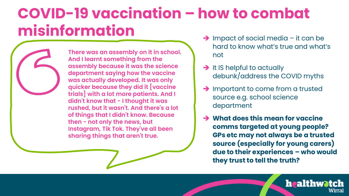#### **COVID-19 vaccination – how to combat misinformation**

**There was an assembly on it in school. And I learnt something from the assembly because it was the science department saying how the vaccine was actually developed. It was only quicker because they did it [vaccine trials] with a lot more patients. And I didn't know that - I thought it was rushed, but it wasn't. And there's a lot of things that I didn't know. Because then - not only the news, but Instagram, Tik Tok. They've all been sharing things that aren't true.** 

- ➔ Impact of social media it can be hard to know what's true and what's not
- → It IS helpful to actually debunk/address the COVID myths
- **→** Important to come from a trusted source e.g. school science department
- ➔ **What does this mean for vaccine comms targeted at young people? GPs etc may not always be a trusted source (especially for young carers) due to their experiences – who would they trust to tell the truth?**

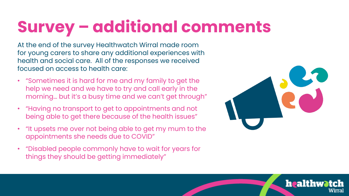# **Survey – additional comments**

At the end of the survey Healthwatch Wirral made room for young carers to share any additional experiences with health and social care. All of the responses we received focused on access to health care:

- "Sometimes it is hard for me and my family to get the help we need and we have to try and call early in the morning… but it's a busy time and we can't get through"
- "Having no transport to get to appointments and not being able to get there because of the health issues"
- "It upsets me over not being able to get my mum to the appointments she needs due to COVID"
- "Disabled people commonly have to wait for years for things they should be getting immediately"



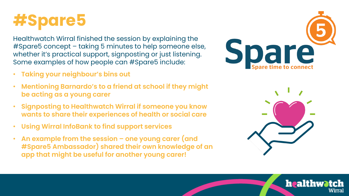

Healthwatch Wirral finished the session by explaining the #Spare5 concept – taking 5 minutes to help someone else, whether it's practical support, signposting or just listening. Some examples of how people can #Spare5 include:

- **Taking your neighbour's bins out**
- **Mentioning Barnardo's to a friend at school if they might be acting as a young carer**
- **Signposting to Healthwatch Wirral if someone you know wants to share their experiences of health or social care**
- **Using Wirral InfoBank to find support services**
- **An example from the session – one young carer (and #Spare5 Ambassador) shared their own knowledge of an app that might be useful for another young carer!**





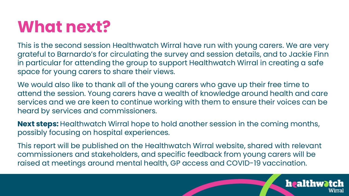#### **What next?**

This is the second session Healthwatch Wirral have run with young carers. We are very grateful to Barnardo's for circulating the survey and session details, and to Jackie Finn in particular for attending the group to support Healthwatch Wirral in creating a safe space for young carers to share their views.

We would also like to thank all of the young carers who gave up their free time to attend the session. Young carers have a wealth of knowledge around health and care services and we are keen to continue working with them to ensure their voices can be heard by services and commissioners.

**Next steps:** Healthwatch Wirral hope to hold another session in the coming months, possibly focusing on hospital experiences.

This report will be published on the Healthwatch Wirral website, shared with relevant commissioners and stakeholders, and specific feedback from young carers will be raised at meetings around mental health, GP access and COVID-19 vaccination.

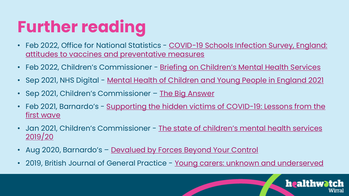# **Further reading**

- Feb 2022, Office for National Statistics COVID-19 Schools Infection Survey, England: [attitudes to vaccines and preventative measures](https://www.ons.gov.uk/peoplepopulationandcommunity/healthandsocialcare/conditionsanddiseases/bulletins/covid19schoolsinfectionsurveyengland/attitudestovaccinesandpreventativemeasuresnovembertodecember2021)
- Feb 2022, Children's Commissioner [Briefing on Children's Mental Health Services](https://www.childrenscommissioner.gov.uk/report/briefing-on-childrens-mental-health-services-2020-2021/)
- Sep 2021, NHS Digital <u>[Mental Health of Children and Young People in England 2021](https://digital.nhs.uk/data-and-information/publications/statistical/mental-health-of-children-and-young-people-in-england/2021-follow-up-to-the-2017-survey)</u>
- Sep 2021, Children's Commissioner [The Big Answer](https://www.childrenscommissioner.gov.uk/the-big-answer/)
- Feb 2021, Barnardo's <u>[Supporting the hidden victims of COVID-19: Lessons from the](https://www.barnardos.org.uk/research/supporting-hidden-victims-covid-19-lessons-first-wave)</u> first wave
- Jan 2021, Children's Commissioner The state of children's mental health services 2019/20
- Aug 2020, Barnardo's [Devalued by Forces Beyond Your Control](https://www.barnardos.org.uk/research/devalued)
- 2019, British Journal of General Practice [Young carers: unknown and underserved](https://bjgp.org/content/69/688/532)